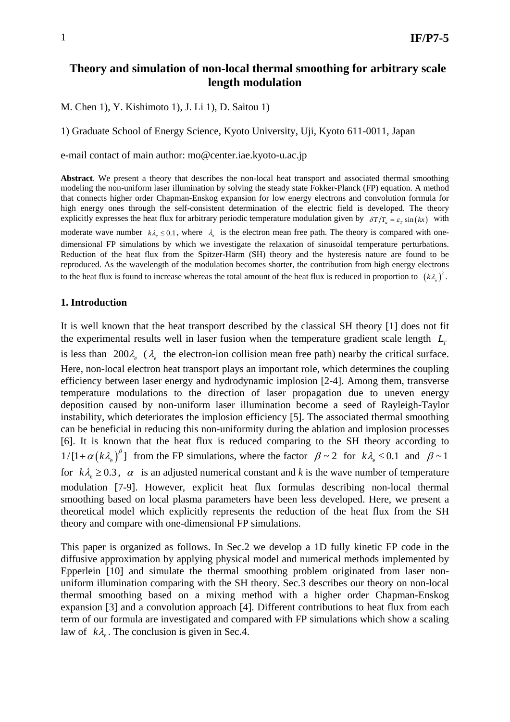## **Theory and simulation of non-local thermal smoothing for arbitrary scale length modulation**

M. Chen 1), Y. Kishimoto 1), J. Li 1), D. Saitou 1)

1) Graduate School of Energy Science, Kyoto University, Uji, Kyoto 611-0011, Japan

e-mail contact of main author: mo@center.iae.kyoto-u.ac.jp

**Abstract**. We present a theory that describes the non-local heat transport and associated thermal smoothing modeling the non-uniform laser illumination by solving the steady state Fokker-Planck (FP) equation. A method that connects higher order Chapman-Enskog expansion for low energy electrons and convolution formula for high energy ones through the self-consistent determination of the electric field is developed. The theory explicitly expresses the heat flux for arbitrary periodic temperature modulation given by  $\delta T/T_a = \varepsilon_r \sin(kx)$  with moderate wave number  $k\lambda_e \le 0.1$ , where  $\lambda_e$  is the electron mean free path. The theory is compared with onedimensional FP simulations by which we investigate the relaxation of sinusoidal temperature perturbations. Reduction of the heat flux from the Spitzer-Härm (SH) theory and the hysteresis nature are found to be reproduced. As the wavelength of the modulation becomes shorter, the contribution from high energy electrons to the heat flux is found to increase whereas the total amount of the heat flux is reduced in proportion to  $(k\lambda_e)^2$ .

### **1. Introduction**

It is well known that the heat transport described by the classical SH theory [1] does not fit the experimental results well in laser fusion when the temperature gradient scale length  $L_1$ is less than  $200\lambda_e$  ( $\lambda_e$  the electron-ion collision mean free path) nearby the critical surface. Here, non-local electron heat transport plays an important role, which determines the coupling efficiency between laser energy and hydrodynamic implosion [2-4]. Among them, transverse temperature modulations to the direction of laser propagation due to uneven energy deposition caused by non-uniform laser illumination become a seed of Rayleigh-Taylor instability, which deteriorates the implosion efficiency [5]. The associated thermal smoothing can be beneficial in reducing this non-uniformity during the ablation and implosion processes [6]. It is known that the heat flux is reduced comparing to the SH theory according to  $1/[1+\alpha (k\lambda_e)^{\beta}]$  from the FP simulations, where the factor  $\beta \sim 2$  for  $k\lambda_e \le 0.1$  and  $\beta \sim 1$ for  $k\lambda \geq 0.3$ ,  $\alpha$  is an adjusted numerical constant and k is the wave number of temperature modulation [7-9]. However, explicit heat flux formulas describing non-local thermal smoothing based on local plasma parameters have been less developed. Here, we present a theoretical model which explicitly represents the reduction of the heat flux from the SH theory and compare with one-dimensional FP simulations.

This paper is organized as follows. In Sec.2 we develop a 1D fully kinetic FP code in the diffusive approximation by applying physical model and numerical methods implemented by Epperlein [10] and simulate the thermal smoothing problem originated from laser nonuniform illumination comparing with the SH theory. Sec.3 describes our theory on non-local thermal smoothing based on a mixing method with a higher order Chapman-Enskog expansion [3] and a convolution approach [4]. Different contributions to heat flux from each term of our formula are investigated and compared with FP simulations which show a scaling law of  $k\lambda$ . The conclusion is given in Sec.4.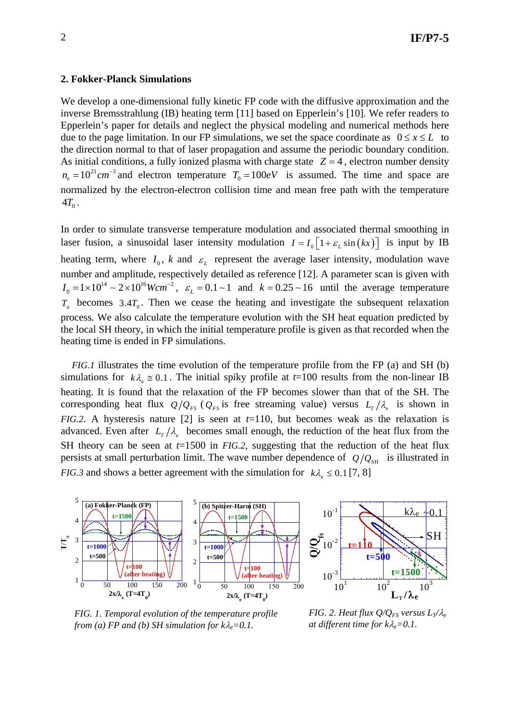#### **2. Fokker-Planck Simulations**

We develop a one-dimensional fully kinetic FP code with the diffusive approximation and the inverse Bremsstrahlung (IB) heating term [11] based on Epperlein's [10]. We refer readers to Epperlein's paper for details and neglect the physical modeling and numerical methods here due to the page limitation. In our FP simulations, we set the space coordinate as  $0 \le x \le L$  to the direction normal to that of laser propagation and assume the periodic boundary condition. As initial conditions, a fully ionized plasma with charge state  $Z = 4$ , electron number density  $n_e = 10^{21}$  cm<sup>-3</sup> and electron temperature  $T_0 = 100eV$  is assumed. The time and space are normalized by the electron-electron collision time and mean free path with the temperature  $4T_{0}$ .

In order to simulate transverse temperature modulation and associated thermal smoothing in laser fusion, a sinusoidal laser intensity modulation  $I = I_0 \left[1 + \varepsilon_L \sin(kx)\right]$  is input by IB heating term, where  $I_0$ , *k* and  $\varepsilon_L$  represent the average laser intensity, modulation wave number and amplitude, respectively detailed as reference [12]. A parameter scan is given with  $I_0 = 1 \times 10^{14} \sim 2 \times 10^{16}$  *Wcm*<sup>−2</sup>,  $\varepsilon_L = 0.1 \sim 1$  and  $k = 0.25 \sim 16$  until the average temperature  $T_a$  becomes 3.4 $T_0$ . Then we cease the heating and investigate the subsequent relaxation process. We also calculate the temperature evolution with the SH heat equation predicted by the local SH theory, in which the initial temperature profile is given as that recorded when the heating time is ended in FP simulations.

*FIG.1* illustrates the time evolution of the temperature profile from the FP (a) and SH (b) simulations for  $k\lambda_e \approx 0.1$ . The initial spiky profile at  $t=100$  results from the non-linear IB heating. It is found that the relaxation of the FP becomes slower than that of the SH. The corresponding heat flux  $Q/Q_{FS}$  ( $Q_{FS}$  is free streaming value) versus  $L_T/\lambda_e$  is shown in *FIG.2*. A hysteresis nature [2] is seen at *t*=110, but becomes weak as the relaxation is advanced. Even after  $L_r/\lambda_e$  becomes small enough, the reduction of the heat flux from the SH theory can be seen at *t*=1500 in *FIG.2*, suggesting that the reduction of the heat flux persists at small perturbation limit. The wave number dependence of  $Q/Q_{\text{SH}}$  is illustrated in *FIG.3* and shows a better agreement with the simulation for  $k\lambda \leq 0.1$  [7, 8]



*FIG. 1. Temporal evolution of the temperature profile from (a) FP and (b) SH simulation for*  $k\lambda_e=0.1$ *.* 

*FIG. 2. Heat flux*  $Q/Q_{FS}$  *versus*  $L_T/\lambda_e$ *at different time for k*λ*e=0.1.*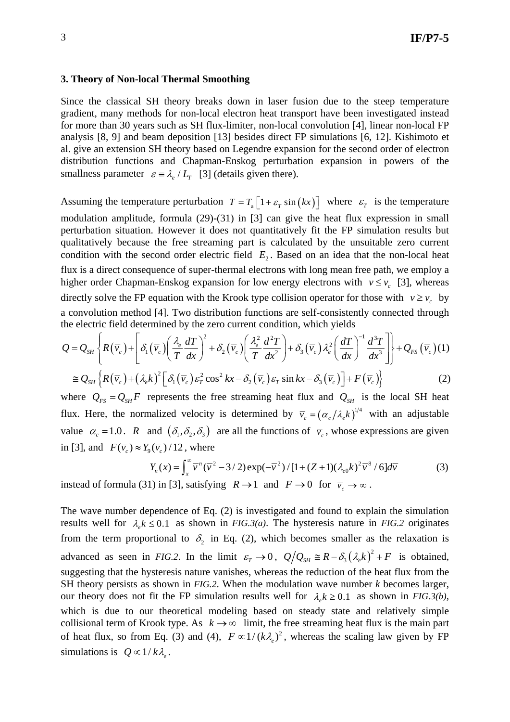#### **3. Theory of Non-local Thermal Smoothing**

Since the classical SH theory breaks down in laser fusion due to the steep temperature gradient, many methods for non-local electron heat transport have been investigated instead for more than 30 years such as SH flux-limiter, non-local convolution [4], linear non-local FP analysis [8, 9] and beam deposition [13] besides direct FP simulations [6, 12]. Kishimoto et al. give an extension SH theory based on Legendre expansion for the second order of electron distribution functions and Chapman-Enskog perturbation expansion in powers of the smallness parameter  $\varepsilon = \lambda_e / L_r$  [3] (details given there).

Assuming the temperature perturbation  $T = T_{\text{A}} [1 + \varepsilon_{\text{T}} \sin(kx)]$  where  $\varepsilon_{\text{T}}$  is the temperature modulation amplitude, formula (29)-(31) in [3] can give the heat flux expression in small perturbation situation. However it does not quantitatively fit the FP simulation results but qualitatively because the free streaming part is calculated by the unsuitable zero current condition with the second order electric field  $E_2$ . Based on an idea that the non-local heat flux is a direct consequence of super-thermal electrons with long mean free path, we employ a higher order Chapman-Enskog expansion for low energy electrons with  $v \le v_c$  [3], whereas directly solve the FP equation with the Krook type collision operator for those with  $v \ge v_c$  by a convolution method [4]. Two distribution functions are self-consistently connected through the electric field determined by the zero current condition, which yields

$$
Q = Q_{SH} \left\{ R(\overline{v}_c) + \left[ \delta_1(\overline{v}_c) \left( \frac{\lambda_e}{T} \frac{dT}{dx} \right)^2 + \delta_2(\overline{v}_c) \left( \frac{\lambda_e^2}{T} \frac{d^2 T}{dx^2} \right) + \delta_3(\overline{v}_c) \lambda_e^2 \left( \frac{dT}{dx} \right)^{-1} \frac{d^3 T}{dx^3} \right] \right\} + Q_{FS}(\overline{v}_c) (1)
$$
  
\n
$$
\cong Q_{SH} \left\{ R(\overline{v}_c) + (\lambda_e k)^2 \left[ \delta_1(\overline{v}_c) \varepsilon_T^2 \cos^2 kx - \delta_2(\overline{v}_c) \varepsilon_T \sin kx - \delta_3(\overline{v}_c) \right] + F(\overline{v}_c) \right\}
$$
 (2)

where  $Q_{FS} = Q_{SH}F$  represents the free streaming heat flux and  $Q_{SH}$  is the local SH heat flux. Here, the normalized velocity is determined by  $\overline{v}_c = (\alpha_c/\lambda_e k)^{1/4}$  with an adjustable value  $\alpha_c = 1.0$ . *R* and  $(\delta_1, \delta_2, \delta_3)$  are all the functions of  $\bar{v}_c$ , whose expressions are given in [3], and  $F(\overline{v}) \approx Y_0 (\overline{v}) / 12$ , where

$$
Y_n(x) = \int_x^\infty \overline{v}^n (\overline{v}^2 - 3/2) \exp(-\overline{v}^2) / [1 + (Z+1)(\lambda_{e0}k)^2 \overline{v}^8 / 6] d\overline{v}
$$
(3)

instead of formula (31) in [3], satisfying  $R \rightarrow 1$  and  $F \rightarrow 0$  for  $\overline{v}_c \rightarrow \infty$ .

The wave number dependence of Eq. (2) is investigated and found to explain the simulation results well for  $\lambda_k \leq 0.1$  as shown in *FIG.3(a)*. The hysteresis nature in *FIG.2* originates from the term proportional to  $\delta$ , in Eq. (2), which becomes smaller as the relaxation is advanced as seen in *FIG.2*. In the limit  $\varepsilon_T \to 0$ ,  $Q/Q_{SH} \cong R - \delta_3 (\lambda_e k)^2 + F$  is obtained, suggesting that the hysteresis nature vanishes, whereas the reduction of the heat flux from the SH theory persists as shown in *FIG.2*. When the modulation wave number *k* becomes larger, our theory does not fit the FP simulation results well for  $\lambda_k \geq 0.1$  as shown in *FIG.3(b)*, which is due to our theoretical modeling based on steady state and relatively simple collisional term of Krook type. As  $k \to \infty$  limit, the free streaming heat flux is the main part of heat flux, so from Eq. (3) and (4),  $F \propto 1/(k\lambda_e)^2$ , whereas the scaling law given by FP simulations is  $Q \propto 1/k\lambda$ <sub>e</sub>.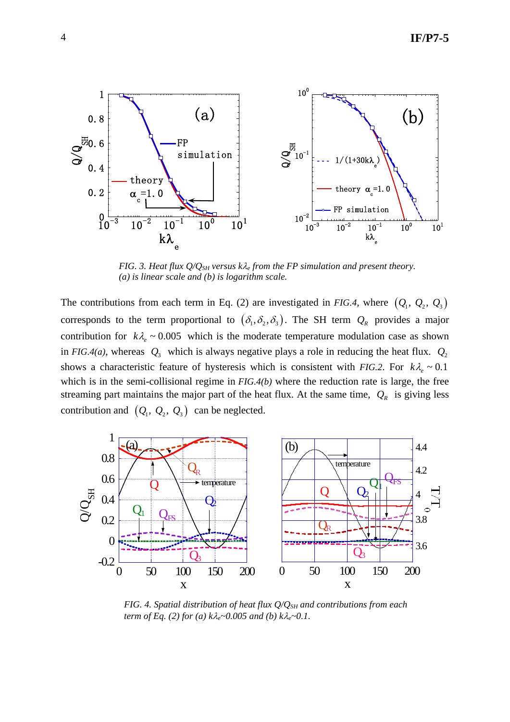

*FIG. 3. Heat flux Q/QSH versus k*λ*e from the FP simulation and present theory. (a) is linear scale and (b) is logarithm scale.* 

The contributions from each term in Eq. (2) are investigated in *FIG.4*, where  $(Q_1, Q_2, Q_3)$ corresponds to the term proportional to  $(\delta_1, \delta_2, \delta_3)$ . The SH term  $Q_R$  provides a major contribution for  $k\lambda_e \sim 0.005$  which is the moderate temperature modulation case as shown in *FIG.4(a)*, whereas  $Q_3$  which is always negative plays a role in reducing the heat flux.  $Q_2$ shows a characteristic feature of hysteresis which is consistent with *FIG.2*. For  $k\lambda_e \sim 0.1$ which is in the semi-collisional regime in *FIG.4(b)* where the reduction rate is large, the free streaming part maintains the major part of the heat flux. At the same time,  $Q_R$  is giving less contribution and  $(Q_1, Q_2, Q_3)$  can be neglected.



*FIG. 4. Spatial distribution of heat flux*  $Q/Q_{SH}$  *and contributions from each term of Eq. (2) for (a) k*λ*e~0.005 and (b) k*λ*e~0.1.*